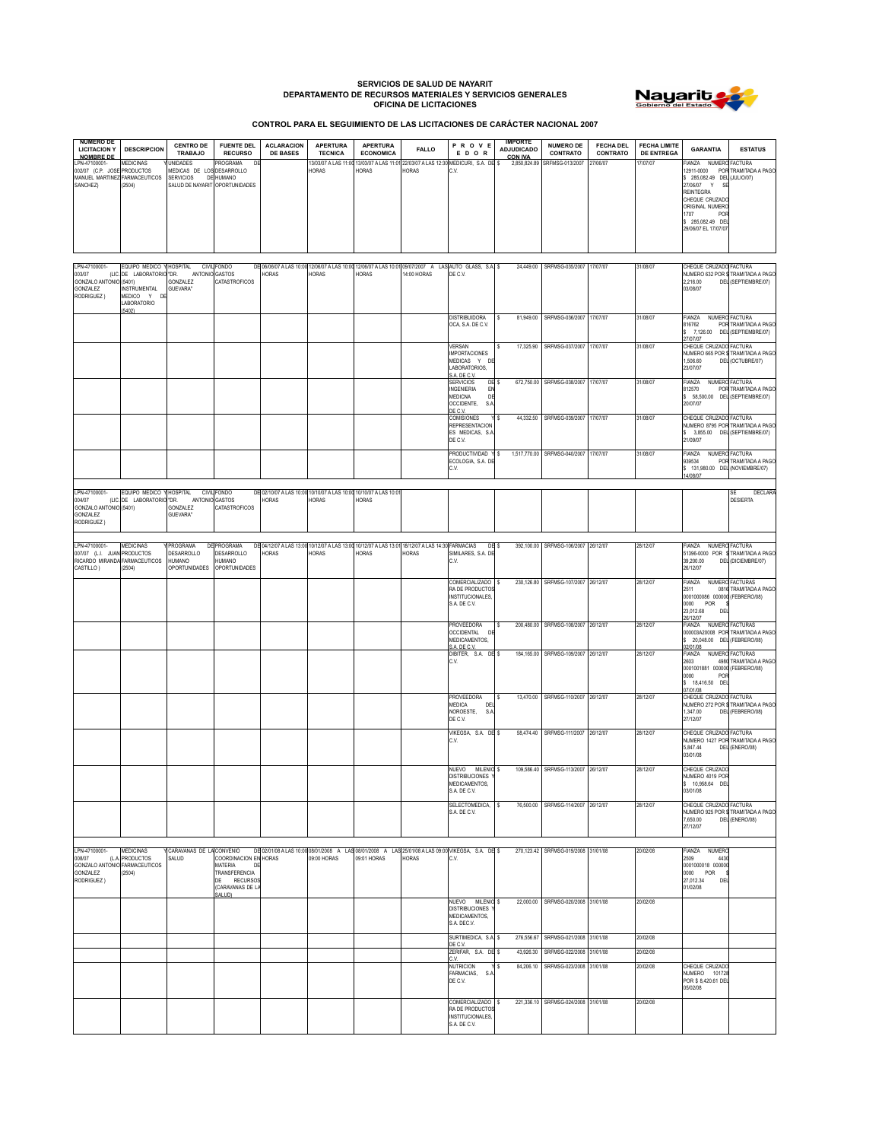## **SERVICIOS DE SALUD DE NAYARIT DEPARTAMENTO DE RECURSOS MATERIALES Y SERVICIOS GENERALES OFICINA DE LICITACIONES**



**CONTROL PARA EL SEGUIMIENTO DE LAS LICITACIONES DE CARÁCTER NACIONAL 2007**

| <b>NUMERO DE</b><br><b>LICITACION Y</b>                                                                       | <b>DESCRIPCION</b>                                                                                         | <b>CENTRO DE</b><br><b>TRABAJO</b>                                                      | <b>FUENTE DEL</b><br><b>RECURSO</b>                                                                  | <b>ACLARACION</b><br><b>DE BASES</b>                                                                             | <b>APERTURA</b><br><b>TECNICA</b> | <b>APERTURA</b><br><b>ECONOMICA</b> | <b>FALLO</b>                 | PROVE<br>EDOR                                                                                                | <b>IMPORTE</b><br><b>ADJUDICADO</b> | <b>NUMERO DE</b><br>CONTRATO                | <b>FECHA DEL</b><br>CONTRATO | <b>FECHA LIMITE</b><br><b>DE ENTREGA</b> | <b>GARANTIA</b>                                                                                                                                                                                | <b>ESTATUS</b>                                           |
|---------------------------------------------------------------------------------------------------------------|------------------------------------------------------------------------------------------------------------|-----------------------------------------------------------------------------------------|------------------------------------------------------------------------------------------------------|------------------------------------------------------------------------------------------------------------------|-----------------------------------|-------------------------------------|------------------------------|--------------------------------------------------------------------------------------------------------------|-------------------------------------|---------------------------------------------|------------------------------|------------------------------------------|------------------------------------------------------------------------------------------------------------------------------------------------------------------------------------------------|----------------------------------------------------------|
| <b>NOMBRE DE</b><br>LPN-47100001-<br>002/07 (C.P. JOSE PRODUCTOS<br>MANUEL MARTINEZ FARMACEUTICOS<br>SANCHEZ) | <b>MEDICINAS</b><br>(2504)                                                                                 | <b>JNIDADES</b><br>MEDICAS DE LOS<br><b>SERVICIOS</b><br>SALUD DE NAYARIT OPORTUNIDADES | PROGRAMA<br>DE<br>DESARROLLO<br><b>DE HUMANO</b>                                                     |                                                                                                                  | 3/03/07 A LAS 11:00<br>HORAS      | 13/03/07 A LAS 11:01<br>HORAS       | 22/03/07 A LAS 12:3<br>HORAS | MEDICURI, S.A. DE \$<br>C.V.                                                                                 | <b>CON IVA</b><br>2,850,824.89      | SRFMSG-013/2007                             | 27/06/07                     | 17/07/07                                 | FIANZA NUMERO FACTURA<br>\$ 285,082.49 DEL (JULIO/07)<br>27/06/07 Y<br>SE<br><b>REINTEGRA</b><br>CHEQUE CRUZADO<br>ORIGINAL NUMERO<br>1707<br>POR<br>\$ 285,082.49 DEL<br>29/06/07 EL 17/07/07 | 12911-0000 POR TRAMITADA A PAGO                          |
| LPN-47100001-<br>003/07<br>GONZALO ANTONIO (5401)<br>GONZALEZ<br>RODRIGUEZ)                                   | EQUIPO MEDICO Y HOSPITAL<br>(LIC. DE LABORATORIO "DR.<br><b>INSTRUMENTAL</b><br>MEDICO Y DI<br>LABORATORIO | ANTONIO GASTOS<br>GONZALEZ<br>GUEVARA"                                                  | CIVIL FONDO<br>CATASTROFICOS                                                                         | DE 06/06/07 A LAS 10:00 12/06/07 A LAS 10:00 12/06/07 A LAS 10:01 09/07/2007 A LAS AUTO GLASS, S.A. \$<br>HORAS  | HORAS                             | <b>HORAS</b>                        | 14:00 HORAS                  | DE C.V.                                                                                                      |                                     | 24,449.00 SRFMSG-035/2007 17/07/07          |                              | 31/08/07                                 | CHEQUE CRUZADO FACTURA<br>2.216.00<br>03/08/07                                                                                                                                                 | NUMERO 632 POR S TRAMITADA A PAGO<br>DEL (SEPTIEMBRE/07) |
|                                                                                                               | 5402)                                                                                                      |                                                                                         |                                                                                                      |                                                                                                                  |                                   |                                     |                              | <b>DISTRIBUIDORA</b><br>OCA, S.A. DE C.V.                                                                    | 81,949.00                           | SRFMSG-036/2007                             | 17/07/07                     | 31/08/07                                 | FIANZA<br>816762<br>\$7,126.00 DEL (SEPTIEMBRE/07)<br>27/07/07                                                                                                                                 | NUMERO FACTURA<br>POR TRAMITADA A PAGO                   |
|                                                                                                               |                                                                                                            |                                                                                         |                                                                                                      |                                                                                                                  |                                   |                                     |                              | <b>VERSAN</b><br><b>IMPORTACIONES</b><br>MEDICAS Y DE<br>LABORATORIOS,<br>A DE C.V.                          |                                     | 17,325.90 SRFMSG-037/2007 17/07/07          |                              | 31/08/07                                 | CHEQUE CRUZADO FACTURA<br>1,506.60<br>23/07/07                                                                                                                                                 | NUMERO 665 POR STRAMITADA A PAGO<br>DEL (OCTUBRE/07)     |
|                                                                                                               |                                                                                                            |                                                                                         |                                                                                                      |                                                                                                                  |                                   |                                     |                              | <b>SERVICIOS</b><br>DE<br><b>INGENIERIA</b><br>EM<br>MEDICNA<br>$\mathsf{D}$<br>OCCIDENTE,<br>S.A<br>DE C.V. |                                     | 672,750.00 SRFMSG-038/2007 17/07/07         |                              | 31/08/07                                 | FIANZA<br>812570<br>\$ 58,500.00 DEL (SEPTIEMBRE/07)<br>20/07/07                                                                                                                               | NUMERO FACTURA<br>POR TRAMITADA A PAGO                   |
|                                                                                                               |                                                                                                            |                                                                                         |                                                                                                      |                                                                                                                  |                                   |                                     |                              | COMISIONES<br>REPRESENTACION<br>ES MEDICAS, S.A<br>DE C.V.                                                   |                                     | 44,332.50 SRFMSG-039/2007 17/07/07          |                              | 31/08/07                                 | CHEQUE CRUZADO FACTURA<br>NUMERO 8795 POR TRAMITADA A PAGO<br>\$ 3,855.00 DEL (SEPTIEMBRE/07)<br>21/09/07                                                                                      |                                                          |
|                                                                                                               |                                                                                                            |                                                                                         |                                                                                                      |                                                                                                                  |                                   |                                     |                              | PRODUCTIVIDAD<br>ECOLOGIA, S.A. DE<br>C.V.                                                                   | s                                   | 1,517,770.00 SRFMSG-040/2007 17/07/07       |                              | 31/08/07                                 | NUMERO FACTURA<br>FIANZA<br>939534<br>\$131,980.00 DEL (NOVIEMBRE/07)<br>14/08/07                                                                                                              | POR TRAMITADA A PAGO                                     |
| LPN-47100001-<br>004/07<br>GONZALO ANTONIO (5401)<br>GONZALEZ<br>RODRIGUEZ)                                   | EQUIPO MEDICO Y HOSPITAL<br>(LIC. DE LABORATORIO "DR.                                                      | ANTONIO GASTOS<br>GONZALEZ<br>GUEVARA"                                                  | CIVIL FONDO<br>CATASTROFICOS                                                                         | DE 02/10/07 A LAS 10:00 10/10/07 A LAS 10:00 10/10/07 A LAS 10:0<br>HORAS                                        | HORAS                             | <b>HORAS</b>                        |                              |                                                                                                              |                                     |                                             |                              |                                          |                                                                                                                                                                                                | <b>DECLARA</b><br>SF<br><b>DESIERTA</b>                  |
| LPN-47100001-<br>007/07 (L.I. JUAN PRODUCTOS<br>RICARDO MIRANDA FARMACEUTICOS<br>CASTILLO)                    | MEDICINAS<br>(2504)                                                                                        | PROGRAMA<br>DESARROLLO<br>HUMANO<br>OPORTUNIDADES                                       | DE PROGRAMA<br>DESARROLLO<br><b>HUMANO</b><br>OPORTUNIDADES                                          | DE 04/12/07 A LAS 13:00 10/12/07 A LAS 13:00 10/12/07 A LAS 13:01 18/12/07 A LAS 14:30 FARMACIAS<br><b>HORAS</b> | HORAS                             | <b>HORAS</b>                        | <b>HORAS</b>                 | SIMILARES, S.A. DE<br>C.V.                                                                                   | DE <sub>\$</sub>                    | 392,100.00 SRFMSG-106/2007 26/12/07         |                              | 28/12/07                                 | NUMERO FACTURA<br><b>FIANZA</b><br>39,200.00<br>26/12/07                                                                                                                                       | 51396-0000 POR \$TRAMITADA A PAGO<br>DEL (DICIEMBRE/07)  |
|                                                                                                               |                                                                                                            |                                                                                         |                                                                                                      |                                                                                                                  |                                   |                                     |                              | COMERCIALIZADO \$<br>RA DE PRODUCTO<br>INSTITUCIONALES,<br>S.A. DE C.V.                                      |                                     | 230,126.80 SRFMSG-107/2007 26/12/07         |                              | 28/12/07                                 | FIANZA<br>0816<br>2511<br>0001000086 000000 (FEBRERO/08)<br>0000<br>POR<br>23,012.68<br>DE<br>6/12/07                                                                                          | NUMERO FACTURAS<br>TRAMITADA A PAGO                      |
|                                                                                                               |                                                                                                            |                                                                                         |                                                                                                      |                                                                                                                  |                                   |                                     |                              | PROVEEDORA<br>OCCIDENTAL<br>D<br>MEDICAMENTOS,<br>S.A. DE C.V.                                               | ۱s                                  | 200,480.00 SRFMSG-108/2007 26/12/07         |                              | 28/12/07                                 | FIANZA<br>000003A20008 POR<br>\$ 20,048.00 DEL (FEBRERO/08)<br>02/01/08                                                                                                                        | NUMERO FACTURAS<br>TRAMITADA A PAGO                      |
|                                                                                                               |                                                                                                            |                                                                                         |                                                                                                      |                                                                                                                  |                                   |                                     |                              | DIBITER, S.A. DE \$<br>C.V.                                                                                  |                                     | 184,165.00 SRFMSG-109/2007                  | 26/12/07                     | 28/12/07                                 | NUMERO<br><b>FIANZA</b><br>2603<br>4980<br>0001001881 000000<br>0000<br>PO<br>\$ 18,416.50 DEL<br>07/01/08                                                                                     | <b>FACTURAS</b><br>TRAMITADA A PAGO<br>(FEBRERO/08)      |
|                                                                                                               |                                                                                                            |                                                                                         |                                                                                                      |                                                                                                                  |                                   |                                     |                              | PROVEEDORA<br><b>MEDICA</b><br>DE<br>NOROESTE,<br>S.A<br>DE C.V.                                             |                                     | 13,470.00 SRFMSG-110/2007                   | 26/12/07                     | 28/12/07                                 | CHEQUE CRUZADO FACTURA<br>1,347.00<br>27/12/07                                                                                                                                                 | NUMERO 272 POR \$TRAMITADA A PAGO<br>DEL (FEBRERO/08)    |
|                                                                                                               |                                                                                                            |                                                                                         |                                                                                                      |                                                                                                                  |                                   |                                     |                              | VIKEGSA, S.A. DE \$<br>C.V.                                                                                  |                                     | 58.474.40 SRFMSG-111/2007 26/12/07          |                              | 28/12/07                                 | CHEQUE CRUZADO FACTURA<br>5.847.44<br>03/01/08                                                                                                                                                 | NUMERO 1427 POR TRAMITADA A PAGO<br>DEL (ENERO/08)       |
|                                                                                                               |                                                                                                            |                                                                                         |                                                                                                      |                                                                                                                  |                                   |                                     |                              | NUEVO MILENIO \$<br><b>DISTRIBUCIONES Y</b><br>MEDICAMENTOS,<br>S.A. DE C.V.                                 |                                     | 109,586.40 SRFMSG-113/2007 26/12/07         |                              | 28/12/07                                 | CHEQUE CRUZADO<br>NUMERO 4019 POR<br>\$ 10,958.64 DEL<br>03/01/08                                                                                                                              |                                                          |
|                                                                                                               |                                                                                                            |                                                                                         |                                                                                                      |                                                                                                                  |                                   |                                     |                              | SELECTOMEDICA,<br>S.A. DE C.V.                                                                               | l S                                 | 76,500.00 SRFMSG-114/2007 26/12/07          |                              | 28/12/07                                 | CHEQUE CRUZADO FACTURA<br>7,650.00<br>27/12/07                                                                                                                                                 | NUMERO 925 POR \$TRAMITADA A PAGO<br>DEL (ENERO/08)      |
| LPN-47100001-<br>008/07<br>GONZALO ANTONIO FARMACEUTICOS<br>GONZALEZ<br>RODRIGUEZ)                            | <b>MEDICINAS</b><br>(L.A. PRODUCTOS<br>(2504)                                                              | CARAVANAS DE LA CONVENIO<br>SALUD                                                       | COORDINACION EN HORAS<br>MATERIA<br>DE<br>TRANSFERENCIA<br>DE RECURSOS<br>(CARAVANAS DE LA<br>SALUD) | DE 02/01/08 A LAS 10:00 08/01/2008 A LAS 08/01/2008 A LAS 25/01/08 A LAS 09:00 VIKEGSA, S.A. DE \$               | 09:00 HORAS                       | 09:01 HORAS                         | <b>HORAS</b>                 | C.V.                                                                                                         |                                     | 270,123.42 SRFMSG-019/2008 31/01/08         |                              | 20/02/08                                 | FIANZA<br>NUMERO<br>2509<br>443<br>0001000018 000000<br>0000 POR<br>27,012.34<br>DEL<br>01/02/08                                                                                               |                                                          |
|                                                                                                               |                                                                                                            |                                                                                         |                                                                                                      |                                                                                                                  |                                   |                                     |                              | NUEVO MILENIO \$<br><b>DISTRIBUCIONES</b><br>MEDICAMENTOS,<br>S.A. DEC.V.                                    |                                     | 22,000.00 SRFMSG-020/2008 31/01/08          |                              | 20/02/08                                 |                                                                                                                                                                                                |                                                          |
|                                                                                                               |                                                                                                            |                                                                                         |                                                                                                      |                                                                                                                  |                                   |                                     |                              | SURTIMEDICA, S.A<br>DE C.V.                                                                                  | 276,556.67                          | SRFMSG-021/2008<br>SRFMSG-022/2008 31/01/08 | 31/01/08                     | 20/02/08                                 |                                                                                                                                                                                                |                                                          |
|                                                                                                               |                                                                                                            |                                                                                         |                                                                                                      |                                                                                                                  |                                   |                                     |                              | ZERIFAR, S.A. DE \$<br>C.V.<br><b>NUTRICION</b>                                                              | 43,926.30<br>84,206.10              | SRFMSG-023/2008 31/01/08                    |                              | 20/02/08<br>20/02/08                     | CHEQUE CRUZADO                                                                                                                                                                                 |                                                          |
|                                                                                                               |                                                                                                            |                                                                                         |                                                                                                      |                                                                                                                  |                                   |                                     |                              | FARMACIAS, S.<br>DE C.V.<br>COMERCIALIZADO                                                                   |                                     | 221,336.10 SRFMSG-024/2008 31/01/08         |                              | 20/02/08                                 | NUMERO 10172<br>POR \$ 8,420.61 DEL<br>05/02/08                                                                                                                                                |                                                          |
|                                                                                                               |                                                                                                            |                                                                                         |                                                                                                      |                                                                                                                  |                                   |                                     |                              | RA DE PRODUCTOS<br>INSTITUCIONALES,<br>S.A. DE C.V.                                                          |                                     |                                             |                              |                                          |                                                                                                                                                                                                |                                                          |